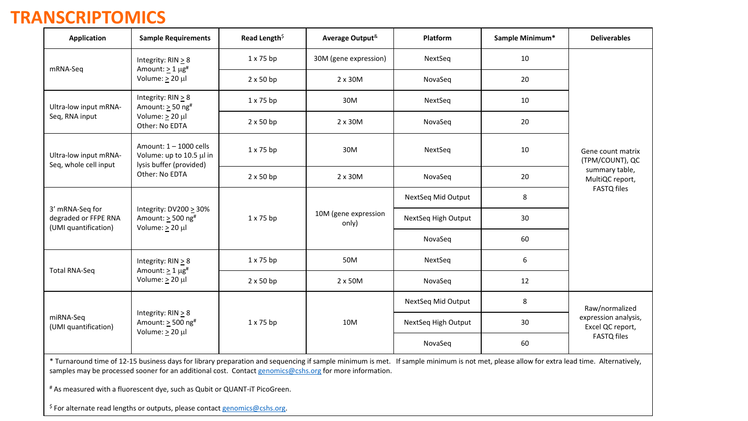#### **TRANSCRIPTOMICS**

| <b>Application</b>                                              | <b>Sample Requirements</b>                                                                                                                                                                                                                                                                          | Read Length <sup>\$</sup> | Average Output <sup>&amp;</sup> | Platform            | Sample Minimum* | <b>Deliverables</b>                                            |
|-----------------------------------------------------------------|-----------------------------------------------------------------------------------------------------------------------------------------------------------------------------------------------------------------------------------------------------------------------------------------------------|---------------------------|---------------------------------|---------------------|-----------------|----------------------------------------------------------------|
| mRNA-Seq                                                        | Integrity: $RIN \geq 8$                                                                                                                                                                                                                                                                             | $1 \times 75$ bp          | 30M (gene expression)           | NextSeq             | 10              |                                                                |
|                                                                 | Amount: $\geq 1 \mu g^*$<br>Volume: $\geq 20$ µl                                                                                                                                                                                                                                                    | $2 \times 50$ bp          | 2 x 30M                         | NovaSeq             | 20              |                                                                |
| Ultra-low input mRNA-                                           | Integrity: $RIN \geq 8$<br>Amount: $\geq$ 50 ng <sup>#</sup>                                                                                                                                                                                                                                        | $1 \times 75$ bp          | 30M                             | NextSeq             | 10              |                                                                |
| Seq, RNA input                                                  | Volume: $\geq 20$ µl<br>Other: No EDTA                                                                                                                                                                                                                                                              | $2 \times 50$ bp          | $2 \times 30M$                  | NovaSeq             | 20              |                                                                |
| Ultra-low input mRNA-<br>Seq, whole cell input                  | Amount: 1 - 1000 cells<br>Volume: up to 10.5 µl in<br>lysis buffer (provided)                                                                                                                                                                                                                       | $1 \times 75$ bp          | 30M                             | NextSeq             | 10              | Gene count matrix<br>(TPM/COUNT), QC                           |
| Other: No EDTA                                                  |                                                                                                                                                                                                                                                                                                     | $2 \times 50$ bp          | 2 x 30M                         | NovaSeq             | 20              | summary table,<br>MultiQC report,                              |
|                                                                 | Integrity: $DV200 \geq 30\%$<br>Amount: $\geq$ 500 ng <sup>#</sup><br>Volume: $\geq 20$ µl                                                                                                                                                                                                          |                           |                                 | NextSeq Mid Output  | 8               | <b>FASTQ files</b>                                             |
| 3' mRNA-Seq for<br>degraded or FFPE RNA<br>(UMI quantification) |                                                                                                                                                                                                                                                                                                     | $1 \times 75$ bp          | 10M (gene expression<br>only)   | NextSeq High Output | 30              |                                                                |
|                                                                 |                                                                                                                                                                                                                                                                                                     |                           |                                 |                     | NovaSeq         | 60                                                             |
| <b>Total RNA-Seq</b>                                            | Integrity: $RIN \geq 8$<br>Amount: $\geq 1 \mu g^{\#}$                                                                                                                                                                                                                                              | $1 \times 75$ bp          | 50M                             | NextSeq             | 6               |                                                                |
|                                                                 | Volume: $\geq$ 20 µl                                                                                                                                                                                                                                                                                | $2 \times 50$ bp          | 2 x 50M                         | NovaSeq             | 12              |                                                                |
|                                                                 |                                                                                                                                                                                                                                                                                                     |                           |                                 | NextSeq Mid Output  | 8               | Raw/normalized                                                 |
| miRNA-Seq<br>(UMI quantification)                               | Integrity: $RIN \geq 8$<br>Amount: $\geq$ 500 ng <sup>#</sup><br>Volume: $\geq 20$ µl                                                                                                                                                                                                               | $1 \times 75$ bp          | 10M                             | NextSeq High Output | 30              | expression analysis,<br>Excel QC report,<br><b>FASTQ files</b> |
|                                                                 |                                                                                                                                                                                                                                                                                                     |                           |                                 | NovaSeq<br>60       |                 |                                                                |
|                                                                 | * Turnaround time of 12-15 business days for library preparation and sequencing if sample minimum is met. If sample minimum is not met, please allow for extra lead time. Alternatively,<br>samples may be processed sooner for an additional cost. Contact genomics@cshs.org for more information. |                           |                                 |                     |                 |                                                                |

# As measured with a fluorescent dye, such as Qubit or QUANT-iT PicoGreen.

 $$$  For alternate read lengths or outputs, please contact  $g$ enomics@cshs.org.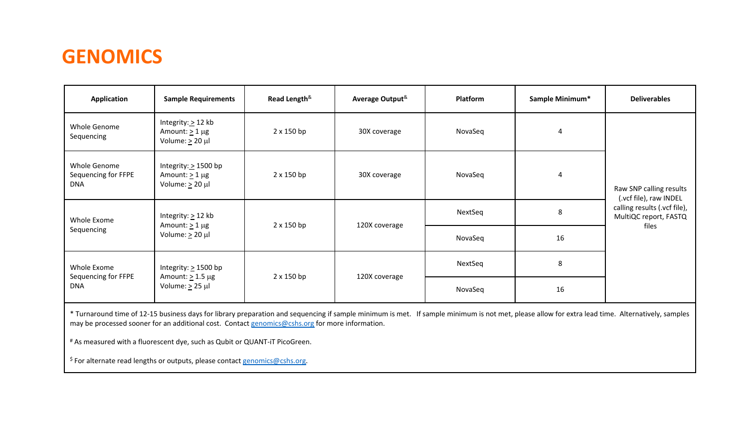#### **GENOMICS**

| Application                                       | <b>Sample Requirements</b>                                                  | Read Length <sup>&amp;</sup> | Average Output <sup>&amp;</sup> | Platform | Sample Minimum* | <b>Deliverables</b>                                            |
|---------------------------------------------------|-----------------------------------------------------------------------------|------------------------------|---------------------------------|----------|-----------------|----------------------------------------------------------------|
| Whole Genome<br>Sequencing                        | Integrity: $\geq$ 12 kb<br>Amount: $\geq 1$ µg<br>Volume: $\geq$ 20 µl      | 2 x 150 bp                   | 30X coverage                    | NovaSeq  | 4               |                                                                |
| Whole Genome<br>Sequencing for FFPE<br><b>DNA</b> | Integrity: $\geq$ 1500 bp<br>Amount: $\geq 1$ µg<br>Volume: $\geq 20 \mu l$ | $2 \times 150$ bp            | 30X coverage                    | NovaSeq  | 4               | Raw SNP calling results<br>(.vcf file), raw INDEL              |
| Whole Exome                                       | Integrity: $\geq$ 12 kb                                                     | 2 x 150 bp                   | 120X coverage                   | NextSeq  | 8               | calling results (.vcf file),<br>MultiQC report, FASTQ<br>files |
| Sequencing                                        | Volume: $\geq 20 \mu l$                                                     | Amount: $\geq 1$ µg          |                                 | NovaSeq  | 16              |                                                                |
| Whole Exome<br>Sequencing for FFPE                | Integrity: $\geq$ 1500 bp                                                   | 2 x 150 bp                   |                                 | NextSeq  | 8               |                                                                |
| <b>DNA</b>                                        | Amount: $\geq$ 1.5 µg<br>Volume: $\geq$ 25 µl                               |                              | 120X coverage                   | NovaSeq  | 16              |                                                                |

\* Turnaround time of 12-15 business days for library preparation and sequencing if sample minimum is met. If sample minimum is not met, please allow for extra lead time. Alternatively, samples may be processed sooner for an additional cost. Contact [genomics@cshs.org](mailto:genomics@cshs.org) for more information.

# As measured with a fluorescent dye, such as Qubit or QUANT-iT PicoGreen.

\$ For alternate read lengths or outputs, please contact [genomics@cshs.org.](mailto:genomics@cshs.org)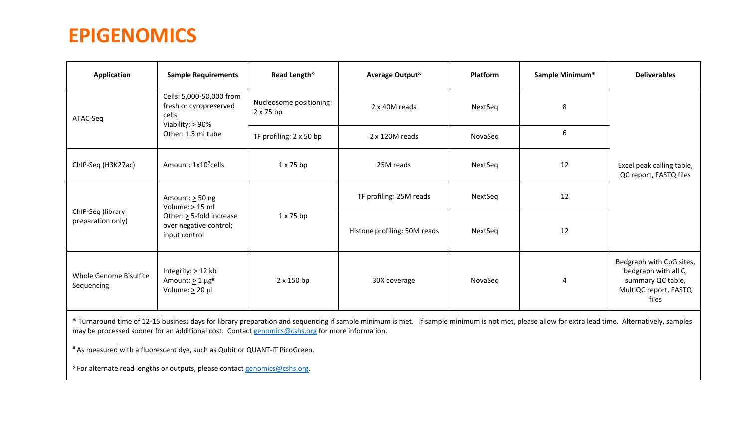#### **EPIGENOMICS**

| Application                                                                                                                                | <b>Sample Requirements</b>                                                        | Read Length <sup>&amp;</sup>                | Average Output <sup>&amp;</sup> | <b>Platform</b> | Sample Minimum* | <b>Deliverables</b>                                                                                     |
|--------------------------------------------------------------------------------------------------------------------------------------------|-----------------------------------------------------------------------------------|---------------------------------------------|---------------------------------|-----------------|-----------------|---------------------------------------------------------------------------------------------------------|
| ATAC-Seq                                                                                                                                   | Cells: 5,000-50,000 from<br>fresh or cyropreserved<br>cells<br>Viability: > 90%   | Nucleosome positioning:<br>$2 \times 75$ bp | 2 x 40M reads                   | NextSeq         | 8               |                                                                                                         |
|                                                                                                                                            | Other: 1.5 ml tube                                                                | TF profiling: 2 x 50 bp                     | 2 x 120M reads                  | NovaSeq         | 6               |                                                                                                         |
| ChIP-Seq (H3K27ac)                                                                                                                         | Amount: 1x10 <sup>7</sup> cells                                                   | $1 \times 75$ bp                            | 25M reads                       | NextSeq         | 12              | Excel peak calling table,<br>QC report, FASTQ files                                                     |
|                                                                                                                                            | Amount: $\geq$ 50 ng                                                              |                                             | TF profiling: 25M reads         | NextSeq         | 12              |                                                                                                         |
| Volume: $\geq$ 15 ml<br>ChIP-Seq (library<br>Other: $\geq$ 5-fold increase<br>preparation only)<br>over negative control;<br>input control |                                                                                   | $1 \times 75$ bp                            | Histone profiling: 50M reads    | NextSeq         | 12              |                                                                                                         |
| Whole Genome Bisulfite<br>Sequencing                                                                                                       | Integrity: $\geq$ 12 kb<br>Amount: $\geq 1 \mu g^{\#}$<br>Volume: $\geq 20 \mu l$ | 2 x 150 bp                                  | 30X coverage                    | NovaSeq         | 4               | Bedgraph with CpG sites,<br>bedgraph with all C,<br>summary QC table,<br>MultiQC report, FASTQ<br>files |

\* Turnaround time of 12-15 business days for library preparation and sequencing if sample minimum is met. If sample minimum is not met, please allow for extra lead time. Alternatively, samples may be processed sooner for an additional cost. Contact [genomics@cshs.org](mailto:genomics@cshs.org) for more information.

# As measured with a fluorescent dye, such as Qubit or QUANT-iT PicoGreen.

 $$$  For alternate read lengths or outputs, please contact [genomics@cshs.org.](mailto:genomics@cshs.org)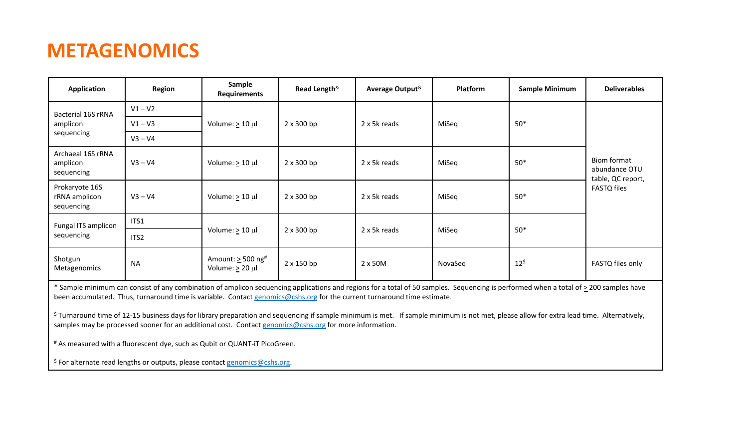### **METAGENOMICS**

| Application                                   | Region           | Sample<br>Requirements                                        | Read Length <sup>&amp;</sup> | Average Output <sup>&amp;</sup> | <b>Platform</b> | Sample Minimum     | <b>Deliverables</b>                               |
|-----------------------------------------------|------------------|---------------------------------------------------------------|------------------------------|---------------------------------|-----------------|--------------------|---------------------------------------------------|
| <b>Bacterial 16S rRNA</b>                     | $V1 - V2$        |                                                               |                              |                                 |                 |                    |                                                   |
| amplicon                                      | $V1 - V3$        | Volume: $\geq 10 \mu l$                                       | $2 \times 300$ bp            | 2 x 5k reads                    | MiSeq           | $50*$              |                                                   |
| sequencing                                    | $V3 - V4$        |                                                               |                              |                                 |                 |                    |                                                   |
| Archaeal 16S rRNA<br>amplicon<br>sequencing   | $V3 - V4$        | Volume: $\geq 10 \mu$                                         | $2 \times 300$ bp            | 2 x 5k reads                    | MiSeq           | $50*$              | Biom format<br>abundance OTU<br>table, QC report, |
| Prokaryote 16S<br>rRNA amplicon<br>sequencing | $V3 - V4$        | Volume: $\geq 10 \mu$                                         | $2 \times 300$ bp            | 2 x 5k reads                    | MiSeq           | $50*$              | <b>FASTQ files</b>                                |
| Fungal ITS amplicon                           | ITS1             |                                                               |                              |                                 |                 |                    |                                                   |
| sequencing                                    | ITS <sub>2</sub> | Volume: $\geq 10 \mu$                                         | $2 \times 300$ bp            | 2 x 5k reads                    | MiSeq           | $50*$              |                                                   |
| Shotgun<br>Metagenomics                       | <b>NA</b>        | Amount: $\geq$ 500 ng <sup>#</sup><br>Volume: $\geq 20 \mu l$ | 2 x 150 bp                   | 2 x 50M                         | NovaSeq         | $12^{\frac{2}{3}}$ | FASTQ files only                                  |

\* Sample minimum can consist of any combination of amplicon sequencing applications and regions for a total of 50 samples. Sequencing is performed when a total of > 200 samples have been accumulated. Thus, turnaround time is variable. Contact [genomics@cshs.org](mailto:genomics@cshs.org) for the current turnaround time estimate.

 $\frac{s}{s}$  Turnaround time of 12-15 business days for library preparation and sequencing if sample minimum is met. If sample minimum is not met, please allow for extra lead time. Alternatively, samples may be processed sooner for an additional cost. Contact [genomics@cshs.org](mailto:genomics@cshs.org) for more information.

# As measured with a fluorescent dye, such as Qubit or QUANT-iT PicoGreen.

 $$$  For alternate read lengths or outputs, please contact [genomics@cshs.org](mailto:genomics@cshs.org).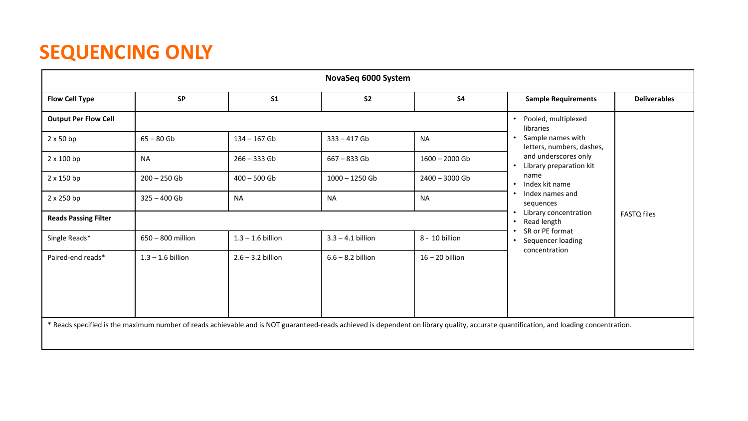|                             | NovaSeq 6000 System |                     |                     |                   |                                                                                                                                                                                       |                     |  |  |
|-----------------------------|---------------------|---------------------|---------------------|-------------------|---------------------------------------------------------------------------------------------------------------------------------------------------------------------------------------|---------------------|--|--|
| <b>Flow Cell Type</b>       | <b>SP</b>           | S <sub>1</sub>      | S <sub>2</sub>      | <b>S4</b>         | <b>Sample Requirements</b>                                                                                                                                                            | <b>Deliverables</b> |  |  |
| <b>Output Per Flow Cell</b> |                     |                     |                     |                   | Pooled, multiplexed<br>$\bullet$<br>libraries                                                                                                                                         |                     |  |  |
| $2 \times 50$ bp            | $65 - 80$ Gb        | $134 - 167$ Gb      | $333 - 417$ Gb      | <b>NA</b>         | Sample names with<br>$\bullet$<br>letters, numbers, dashes,                                                                                                                           |                     |  |  |
| 2 x 100 bp                  | <b>NA</b>           | $266 - 333$ Gb      | $667 - 833$ Gb      | $1600 - 2000$ Gb  | and underscores only<br>Library preparation kit<br>$\bullet$                                                                                                                          |                     |  |  |
| $2 \times 150$ bp           | $200 - 250$ Gb      | $400 - 500$ Gb      | $1000 - 1250$ Gb    | 2400 - 3000 Gb    | name<br>Index kit name<br>$\bullet$                                                                                                                                                   |                     |  |  |
| 2 x 250 bp                  | $325 - 400$ Gb      | <b>NA</b>           | <b>NA</b>           | <b>NA</b>         | Index names and<br>$\bullet$<br>sequences                                                                                                                                             |                     |  |  |
| <b>Reads Passing Filter</b> |                     |                     |                     |                   | Library concentration<br>$\bullet$<br>Read length<br>$\bullet$                                                                                                                        | <b>FASTQ files</b>  |  |  |
| Single Reads*               | 650 - 800 million   | $1.3 - 1.6$ billion | $3.3 - 4.1$ billion | 8 - 10 billion    | SR or PE format<br>Sequencer loading<br>$\bullet$                                                                                                                                     |                     |  |  |
| Paired-end reads*           | $1.3 - 1.6$ billion | $2.6 - 3.2$ billion | $6.6 - 8.2$ billion | $16 - 20$ billion | concentration                                                                                                                                                                         |                     |  |  |
|                             |                     |                     |                     |                   |                                                                                                                                                                                       |                     |  |  |
|                             |                     |                     |                     |                   |                                                                                                                                                                                       |                     |  |  |
|                             |                     |                     |                     |                   |                                                                                                                                                                                       |                     |  |  |
|                             |                     |                     |                     |                   | * Reads specified is the maximum number of reads achievable and is NOT guaranteed-reads achieved is dependent on library quality, accurate quantification, and loading concentration. |                     |  |  |
|                             |                     |                     |                     |                   |                                                                                                                                                                                       |                     |  |  |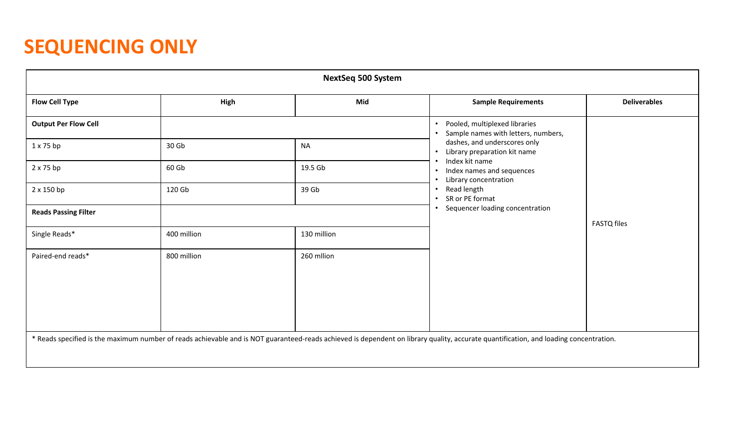| <b>NextSeq 500 System</b>   |             |             |                                                                                                                                                                                       |                     |  |  |  |
|-----------------------------|-------------|-------------|---------------------------------------------------------------------------------------------------------------------------------------------------------------------------------------|---------------------|--|--|--|
| <b>Flow Cell Type</b>       | High        | Mid         | <b>Sample Requirements</b>                                                                                                                                                            | <b>Deliverables</b> |  |  |  |
| <b>Output Per Flow Cell</b> |             |             | Pooled, multiplexed libraries<br>$\bullet$<br>Sample names with letters, numbers,<br>$\bullet$                                                                                        |                     |  |  |  |
| $1 \times 75$ bp            | 30 Gb       | <b>NA</b>   | dashes, and underscores only<br>Library preparation kit name<br>$\bullet$                                                                                                             |                     |  |  |  |
| $2 \times 75$ bp            | 60 Gb       | 19.5 Gb     | Index kit name<br>Index names and sequences<br>$\bullet$<br>Library concentration<br>$\bullet$                                                                                        |                     |  |  |  |
| 2 x 150 bp                  | 120 Gb      | 39 Gb       | Read length<br>$\bullet$<br>SR or PE format<br>$\bullet$                                                                                                                              |                     |  |  |  |
| <b>Reads Passing Filter</b> |             |             | Sequencer loading concentration<br>$\bullet$                                                                                                                                          | <b>FASTQ</b> files  |  |  |  |
| Single Reads*               | 400 million | 130 million |                                                                                                                                                                                       |                     |  |  |  |
| Paired-end reads*           | 800 million | 260 milion  |                                                                                                                                                                                       |                     |  |  |  |
|                             |             |             |                                                                                                                                                                                       |                     |  |  |  |
|                             |             |             |                                                                                                                                                                                       |                     |  |  |  |
|                             |             |             |                                                                                                                                                                                       |                     |  |  |  |
|                             |             |             | * Reads specified is the maximum number of reads achievable and is NOT guaranteed-reads achieved is dependent on library quality, accurate quantification, and loading concentration. |                     |  |  |  |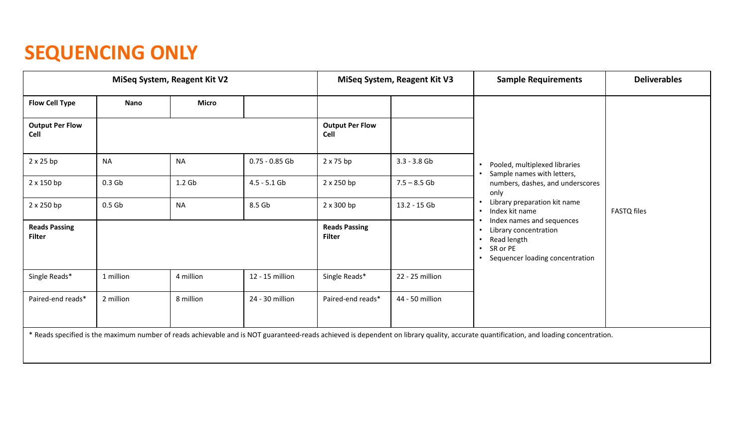|                                       |                   | MiSeq System, Reagent Kit V2 |                  |                                       | MiSeq System, Reagent Kit V3 | <b>Sample Requirements</b>                                                                                                                                                            | <b>Deliverables</b> |
|---------------------------------------|-------------------|------------------------------|------------------|---------------------------------------|------------------------------|---------------------------------------------------------------------------------------------------------------------------------------------------------------------------------------|---------------------|
| <b>Flow Cell Type</b>                 | Nano              | <b>Micro</b>                 |                  |                                       |                              |                                                                                                                                                                                       |                     |
| <b>Output Per Flow</b><br>Cell        |                   |                              |                  | <b>Output Per Flow</b><br>Cell        |                              |                                                                                                                                                                                       |                     |
| $2 \times 25$ bp                      | <b>NA</b>         | <b>NA</b>                    | $0.75 - 0.85$ Gb | $2 \times 75$ bp                      | $3.3 - 3.8$ Gb               | Pooled, multiplexed libraries                                                                                                                                                         |                     |
| 2 x 150 bp                            | 0.3 <sub>6b</sub> | 1.2 <sub>Gb</sub>            | $4.5 - 5.1$ Gb   | 2 x 250 bp                            | $7.5 - 8.5$ Gb               | Sample names with letters,<br>numbers, dashes, and underscores<br>only<br>Library preparation kit name<br>Index kit name                                                              | <b>FASTQ files</b>  |
| 2 x 250 bp                            | 0.5 <sub>6b</sub> | <b>NA</b>                    | 8.5 Gb           | 2 x 300 bp                            | 13.2 - 15 Gb                 |                                                                                                                                                                                       |                     |
| <b>Reads Passing</b><br><b>Filter</b> |                   |                              |                  | <b>Reads Passing</b><br><b>Filter</b> |                              | Index names and sequences<br>Library concentration<br>٠<br>Read length<br>SR or PE<br>Sequencer loading concentration                                                                 |                     |
| Single Reads*                         | 1 million         | 4 million                    | 12 - 15 million  | Single Reads*                         | 22 - 25 million              |                                                                                                                                                                                       |                     |
| Paired-end reads*                     | 2 million         | 8 million                    | 24 - 30 million  | Paired-end reads*                     | 44 - 50 million              |                                                                                                                                                                                       |                     |
|                                       |                   |                              |                  |                                       |                              | * Reads specified is the maximum number of reads achievable and is NOT guaranteed-reads achieved is dependent on library quality, accurate quantification, and loading concentration. |                     |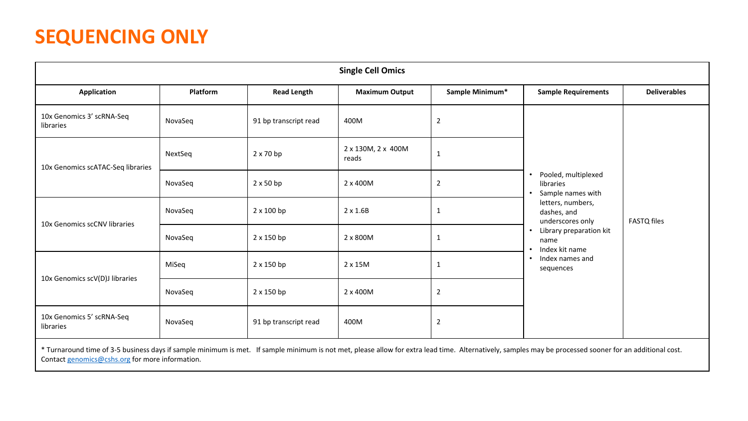|                                                                                                                                                                                                                                                            | <b>Single Cell Omics</b> |                       |                             |                 |                                                       |                     |  |  |
|------------------------------------------------------------------------------------------------------------------------------------------------------------------------------------------------------------------------------------------------------------|--------------------------|-----------------------|-----------------------------|-----------------|-------------------------------------------------------|---------------------|--|--|
| <b>Application</b>                                                                                                                                                                                                                                         | Platform                 | <b>Read Length</b>    | <b>Maximum Output</b>       | Sample Minimum* | <b>Sample Requirements</b>                            | <b>Deliverables</b> |  |  |
| 10x Genomics 3' scRNA-Seq<br>libraries                                                                                                                                                                                                                     | NovaSeq                  | 91 bp transcript read | 400M                        | $\overline{2}$  |                                                       |                     |  |  |
| 10x Genomics scATAC-Seq libraries                                                                                                                                                                                                                          | NextSeq                  | $2 \times 70$ bp      | 2 x 130M, 2 x 400M<br>reads | $\mathbf{1}$    |                                                       |                     |  |  |
|                                                                                                                                                                                                                                                            | NovaSeq                  | $2 \times 50$ bp      | 2 x 400M                    | $\overline{2}$  | Pooled, multiplexed<br>libraries<br>Sample names with | <b>FASTQ files</b>  |  |  |
| 10x Genomics scCNV libraries                                                                                                                                                                                                                               | NovaSeq                  | 2 x 100 bp            | $2 \times 1.6B$             | $\mathbf{1}$    | letters, numbers,<br>dashes, and<br>underscores only  |                     |  |  |
|                                                                                                                                                                                                                                                            | NovaSeq                  | $2 \times 150$ bp     | 2 x 800M                    | $\mathbf{1}$    | Library preparation kit<br>name<br>Index kit name     |                     |  |  |
| 10x Genomics scV(D)J libraries                                                                                                                                                                                                                             | MiSeg                    | 2 x 150 bp            | $2 \times 15M$              | $\mathbf{1}$    | Index names and<br>sequences                          |                     |  |  |
|                                                                                                                                                                                                                                                            | NovaSeq                  | $2 \times 150$ bp     | 2 x 400M                    | $\overline{2}$  |                                                       |                     |  |  |
| 10x Genomics 5' scRNA-Seq<br>libraries                                                                                                                                                                                                                     | NovaSeq                  | 91 bp transcript read | 400M                        | $\overline{2}$  |                                                       |                     |  |  |
| * Turnaround time of 3-5 business days if sample minimum is met. If sample minimum is not met, please allow for extra lead time. Alternatively, samples may be processed sooner for an additional cost.<br>Contact genomics@cshs.org for more information. |                          |                       |                             |                 |                                                       |                     |  |  |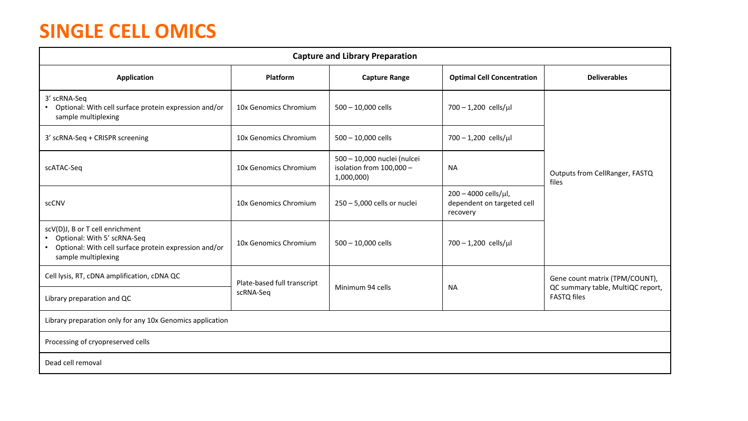## **SINGLE CELL OMICS**

| <b>Capture and Library Preparation</b>                                                                                                           |                             |                                                                       |                                                                |                                                         |  |  |  |
|--------------------------------------------------------------------------------------------------------------------------------------------------|-----------------------------|-----------------------------------------------------------------------|----------------------------------------------------------------|---------------------------------------------------------|--|--|--|
| <b>Application</b>                                                                                                                               | Platform                    | <b>Capture Range</b>                                                  | <b>Optimal Cell Concentration</b>                              | <b>Deliverables</b>                                     |  |  |  |
| 3' scRNA-Seq<br>• Optional: With cell surface protein expression and/or<br>sample multiplexing                                                   | 10x Genomics Chromium       | 500 - 10,000 cells                                                    | 700 - 1,200 cells/µl                                           |                                                         |  |  |  |
| 3' scRNA-Seq + CRISPR screening                                                                                                                  | 10x Genomics Chromium       | 500 - 10,000 cells                                                    | $700 - 1,200$ cells/µl                                         |                                                         |  |  |  |
| scATAC-Seq                                                                                                                                       | 10x Genomics Chromium       | 500 - 10,000 nuclei (nulcei<br>isolation from 100,000 -<br>1,000,000) | <b>NA</b>                                                      | Outputs from CellRanger, FASTQ<br>files                 |  |  |  |
| scCNV                                                                                                                                            | 10x Genomics Chromium       | 250 - 5,000 cells or nuclei                                           | 200 - 4000 cells/µl,<br>dependent on targeted cell<br>recovery |                                                         |  |  |  |
| scV(D)J, B or T cell enrichment<br>• Optional: With 5' scRNA-Seq<br>Optional: With cell surface protein expression and/or<br>sample multiplexing | 10x Genomics Chromium       | 500 - 10,000 cells                                                    | 700 - 1,200 cells/µl                                           |                                                         |  |  |  |
| Cell lysis, RT, cDNA amplification, cDNA QC                                                                                                      | Plate-based full transcript |                                                                       |                                                                | Gene count matrix (TPM/COUNT),                          |  |  |  |
| Library preparation and QC                                                                                                                       | scRNA-Seq                   | Minimum 94 cells                                                      | <b>NA</b>                                                      | QC summary table, MultiQC report,<br><b>FASTQ files</b> |  |  |  |
| Library preparation only for any 10x Genomics application                                                                                        |                             |                                                                       |                                                                |                                                         |  |  |  |
| Processing of cryopreserved cells                                                                                                                |                             |                                                                       |                                                                |                                                         |  |  |  |
| Dead cell removal                                                                                                                                |                             |                                                                       |                                                                |                                                         |  |  |  |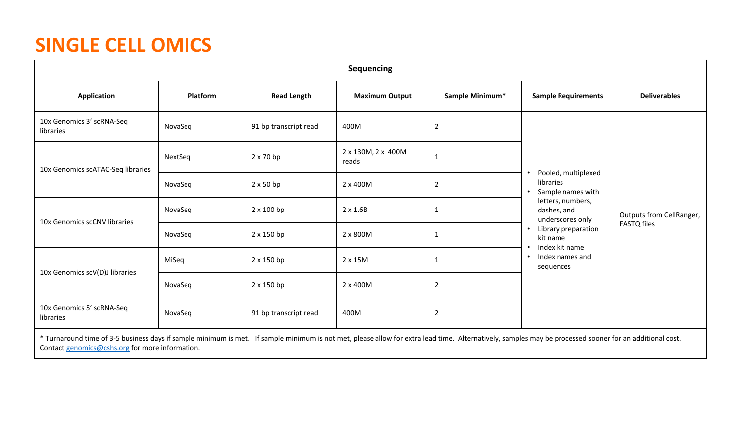# **SINGLE CELL OMICS**

|                                                                                                                                                                                                         | <b>Sequencing</b> |                       |                             |                 |                                                       |                                                |  |  |
|---------------------------------------------------------------------------------------------------------------------------------------------------------------------------------------------------------|-------------------|-----------------------|-----------------------------|-----------------|-------------------------------------------------------|------------------------------------------------|--|--|
| <b>Application</b>                                                                                                                                                                                      | Platform          | <b>Read Length</b>    | <b>Maximum Output</b>       | Sample Minimum* | <b>Sample Requirements</b>                            | <b>Deliverables</b>                            |  |  |
| 10x Genomics 3' scRNA-Seq<br>libraries                                                                                                                                                                  | NovaSeq           | 91 bp transcript read | 400M                        | $\overline{2}$  |                                                       |                                                |  |  |
| 10x Genomics scATAC-Seq libraries                                                                                                                                                                       | NextSeq           | $2 \times 70$ bp      | 2 x 130M, 2 x 400M<br>reads | $\mathbf{1}$    |                                                       | Outputs from CellRanger,<br><b>FASTQ files</b> |  |  |
|                                                                                                                                                                                                         | NovaSeq           | $2 \times 50$ bp      | 2 x 400M                    | $\overline{2}$  | Pooled, multiplexed<br>libraries<br>Sample names with |                                                |  |  |
|                                                                                                                                                                                                         | NovaSeq           | $2 \times 100$ bp     | $2 \times 1.6B$             | $\mathbf{1}$    | letters, numbers,<br>dashes, and<br>underscores only  |                                                |  |  |
| 10x Genomics scCNV libraries                                                                                                                                                                            | NovaSeq           | 2 x 150 bp            | 2 x 800M                    | $\mathbf{1}$    | Library preparation<br>kit name                       |                                                |  |  |
|                                                                                                                                                                                                         | MiSeq             | $2 \times 150$ bp     | 2 x 15M                     | 1               | Index kit name<br>Index names and<br>٠<br>sequences   |                                                |  |  |
| 10x Genomics scV(D)J libraries                                                                                                                                                                          | NovaSeq           | 2 x 150 bp            | 2 x 400M                    | $\overline{2}$  |                                                       |                                                |  |  |
| 10x Genomics 5' scRNA-Seq<br>libraries                                                                                                                                                                  | NovaSeq           | 91 bp transcript read | 400M                        | $\overline{2}$  |                                                       |                                                |  |  |
| * Turnaround time of 3-5 business days if sample minimum is met. If sample minimum is not met, please allow for extra lead time. Alternatively, samples may be processed sooner for an additional cost. |                   |                       |                             |                 |                                                       |                                                |  |  |

Contact [genomics@cshs.org](mailto:genomics@cshs.org) for more information.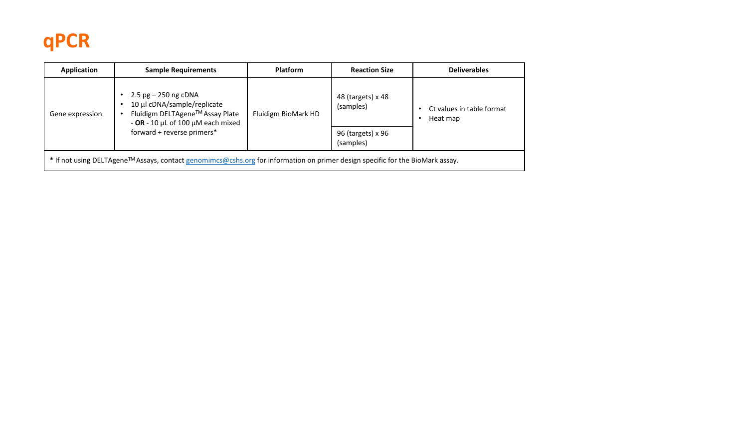# **qPCR**

| Application                                                                                                                   | <b>Sample Requirements</b>                                                                                                              | <b>Platform</b>     | <b>Reaction Size</b>           | <b>Deliverables</b>                   |  |  |
|-------------------------------------------------------------------------------------------------------------------------------|-----------------------------------------------------------------------------------------------------------------------------------------|---------------------|--------------------------------|---------------------------------------|--|--|
| Gene expression                                                                                                               | 2.5 $pg - 250$ ng cDNA<br>10 µl cDNA/sample/replicate<br>Fluidigm DELTAgene™ Assay Plate<br>- OR - 10 $\mu$ L of 100 $\mu$ M each mixed | Fluidigm BioMark HD | 48 (targets) x 48<br>(samples) | Ct values in table format<br>Heat map |  |  |
|                                                                                                                               | forward + reverse primers*                                                                                                              |                     | 96 (targets) x 96<br>(samples) |                                       |  |  |
| * If not using DELTAgene™ Assays, contact genomimcs@cshs.org for information on primer design specific for the BioMark assay. |                                                                                                                                         |                     |                                |                                       |  |  |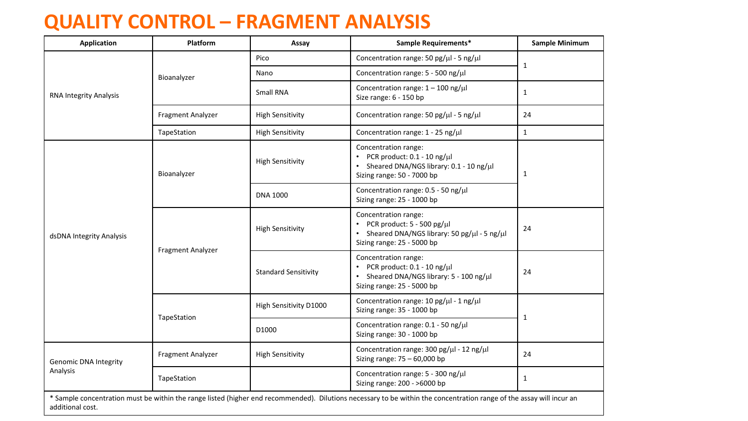#### **QUALITY CONTROL – FRAGMENT ANALYSIS**

| <b>Application</b>           | Platform          | Assay                       | Sample Requirements*                                                                                                                                                 | <b>Sample Minimum</b> |
|------------------------------|-------------------|-----------------------------|----------------------------------------------------------------------------------------------------------------------------------------------------------------------|-----------------------|
|                              |                   | Pico                        | Concentration range: 50 pg/ $\mu$ l - 5 ng/ $\mu$ l                                                                                                                  |                       |
|                              | Bioanalyzer       | Nano                        | Concentration range: 5 - 500 ng/µl                                                                                                                                   | $\mathbf{1}$          |
| RNA Integrity Analysis       |                   | Small RNA                   | Concentration range: $1 - 100$ ng/ $\mu$ l<br>Size range: 6 - 150 bp                                                                                                 | $\mathbf{1}$          |
|                              | Fragment Analyzer | <b>High Sensitivity</b>     | Concentration range: 50 pg/µl - 5 ng/µl                                                                                                                              | 24                    |
| dsDNA Integrity Analysis     | TapeStation       | <b>High Sensitivity</b>     | Concentration range: $1 - 25$ ng/ $\mu$ l                                                                                                                            | $\mathbf{1}$          |
|                              | Bioanalyzer       | <b>High Sensitivity</b>     | Concentration range:<br>• PCR product: $0.1 - 10$ ng/ $\mu$ l<br>• Sheared DNA/NGS library: $0.1 - 10$ ng/ $\mu$ l<br>Sizing range: 50 - 7000 bp                     | $\mathbf{1}$          |
|                              |                   | <b>DNA 1000</b>             | Concentration range: $0.5 - 50$ ng/ $\mu$ l<br>Sizing range: 25 - 1000 bp                                                                                            |                       |
|                              | Fragment Analyzer | <b>High Sensitivity</b>     | Concentration range:<br>• PCR product: $5 - 500$ pg/ $\mu$ l<br>• Sheared DNA/NGS library: 50 pg/µl - 5 ng/µl<br>Sizing range: 25 - 5000 bp                          | 24                    |
|                              |                   | <b>Standard Sensitivity</b> | Concentration range:<br>• PCR product: $0.1 - 10$ ng/ $\mu$ l<br>• Sheared DNA/NGS library: 5 - 100 ng/µl<br>Sizing range: 25 - 5000 bp                              | 24                    |
|                              |                   | High Sensitivity D1000      | Concentration range: 10 pg/µl - 1 ng/µl<br>Sizing range: 35 - 1000 bp                                                                                                |                       |
|                              | TapeStation       | D1000                       | Concentration range: 0.1 - 50 ng/µl<br>Sizing range: 30 - 1000 bp                                                                                                    | $\mathbf{1}$          |
| <b>Genomic DNA Integrity</b> | Fragment Analyzer | <b>High Sensitivity</b>     | Concentration range: $300 \text{ pg/µl} - 12 \text{ ng/µl}$<br>Sizing range: $75 - 60,000$ bp                                                                        | 24                    |
| Analysis                     | TapeStation       |                             | Concentration range: 5 - 300 ng/µl<br>Sizing range: 200 - >6000 bp                                                                                                   | $\mathbf{1}$          |
| additional cost.             |                   |                             | * Sample concentration must be within the range listed (higher end recommended). Dilutions necessary to be within the concentration range of the assay will incur an |                       |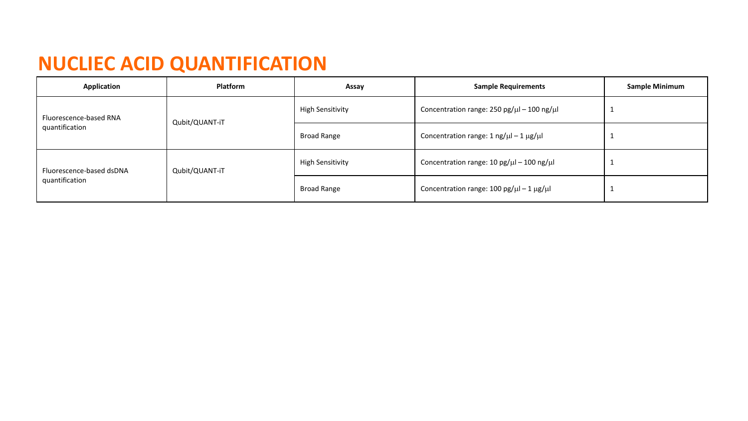## **NUCLIEC ACID QUANTIFICATION**

| Application                                | <b>Platform</b> | Assay                   | <b>Sample Requirements</b>                                          | <b>Sample Minimum</b> |
|--------------------------------------------|-----------------|-------------------------|---------------------------------------------------------------------|-----------------------|
| Fluorescence-based RNA<br>quantification   | Qubit/QUANT-iT  | <b>High Sensitivity</b> | Concentration range: 250 pg/ $\mu$ l – 100 ng/ $\mu$ l              |                       |
|                                            |                 | <b>Broad Range</b>      | Concentration range: $1 \text{ ng/}\mu - 1 \mu\text{g/}\mu$         |                       |
| Fluorescence-based dsDNA<br>quantification | Qubit/QUANT-iT  | <b>High Sensitivity</b> | Concentration range: $10 \text{ pg/}\mu$ l - $100 \text{ ng/}\mu$ l |                       |
|                                            |                 | <b>Broad Range</b>      | Concentration range: $100 \text{ pg/}\mu - 1 \text{ µg/}\mu$        |                       |